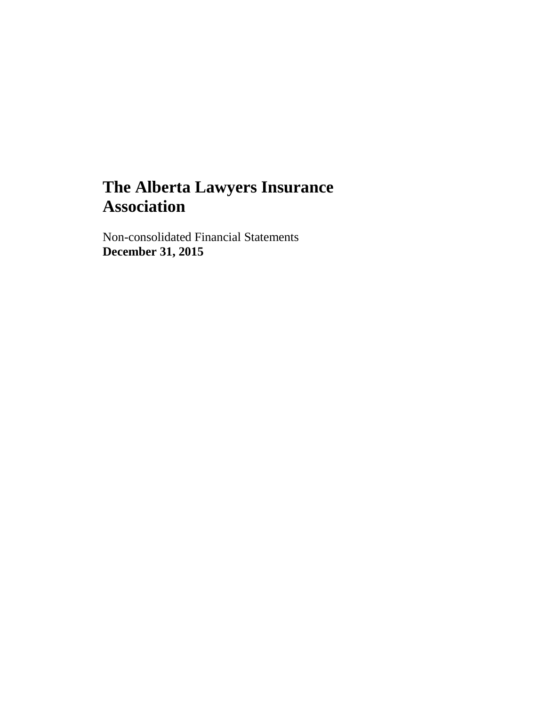Non-consolidated Financial Statements **December 31, 2015**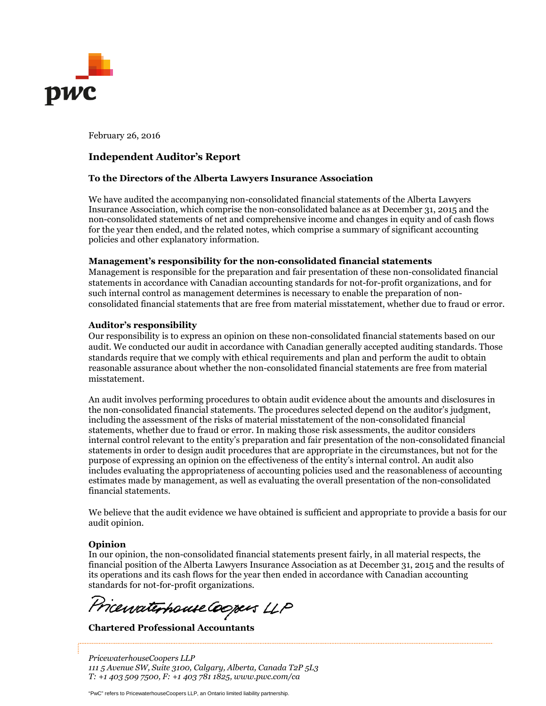

February 26, 2016

### **Independent Auditor's Report**

#### **To the Directors of the Alberta Lawyers Insurance Association**

We have audited the accompanying non-consolidated financial statements of the Alberta Lawyers Insurance Association, which comprise the non-consolidated balance as at December 31, 2015 and the non-consolidated statements of net and comprehensive income and changes in equity and of cash flows for the year then ended, and the related notes, which comprise a summary of significant accounting policies and other explanatory information.

#### **Management's responsibility for the non-consolidated financial statements**

Management is responsible for the preparation and fair presentation of these non-consolidated financial statements in accordance with Canadian accounting standards for not-for-profit organizations, and for such internal control as management determines is necessary to enable the preparation of nonconsolidated financial statements that are free from material misstatement, whether due to fraud or error.

#### **Auditor's responsibility**

Our responsibility is to express an opinion on these non-consolidated financial statements based on our audit. We conducted our audit in accordance with Canadian generally accepted auditing standards. Those standards require that we comply with ethical requirements and plan and perform the audit to obtain reasonable assurance about whether the non-consolidated financial statements are free from material misstatement.

An audit involves performing procedures to obtain audit evidence about the amounts and disclosures in the non-consolidated financial statements. The procedures selected depend on the auditor's judgment, including the assessment of the risks of material misstatement of the non-consolidated financial statements, whether due to fraud or error. In making those risk assessments, the auditor considers internal control relevant to the entity's preparation and fair presentation of the non-consolidated financial statements in order to design audit procedures that are appropriate in the circumstances, but not for the purpose of expressing an opinion on the effectiveness of the entity's internal control. An audit also includes evaluating the appropriateness of accounting policies used and the reasonableness of accounting estimates made by management, as well as evaluating the overall presentation of the non-consolidated financial statements.

We believe that the audit evidence we have obtained is sufficient and appropriate to provide a basis for our audit opinion.

#### **Opinion**

In our opinion, the non-consolidated financial statements present fairly, in all material respects, the financial position of the Alberta Lawyers Insurance Association as at December 31, 2015 and the results of its operations and its cash flows for the year then ended in accordance with Canadian accounting standards for not-for-profit organizations.

Pricewaterhouse Coopers LLP

**Chartered Professional Accountants**

*PricewaterhouseCoopers LLP 111 5 Avenue SW, Suite 3100, Calgary, Alberta, Canada T2P 5L3 T: +1 403 509 7500, F: +1 403 781 1825, www.pwc.com/ca*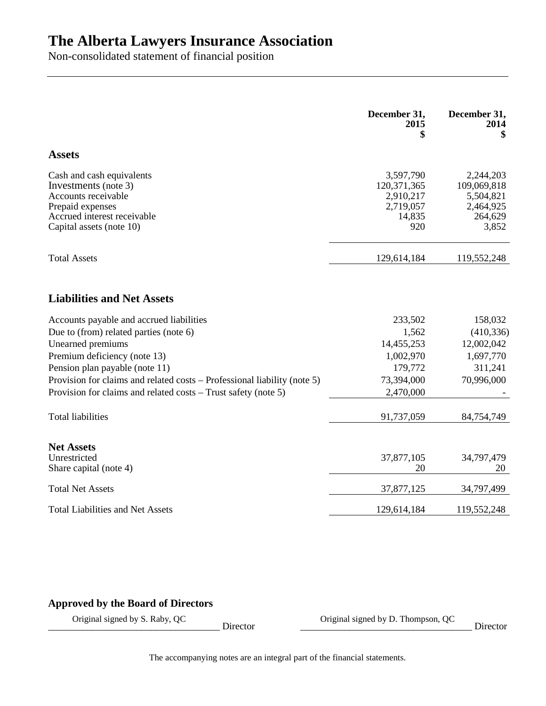Non-consolidated statement of financial position

|                                                                                                                                                         | December 31,<br>2015<br>\$                                          | December 31,<br>2014<br>\$                                             |
|---------------------------------------------------------------------------------------------------------------------------------------------------------|---------------------------------------------------------------------|------------------------------------------------------------------------|
| <b>Assets</b>                                                                                                                                           |                                                                     |                                                                        |
| Cash and cash equivalents<br>Investments (note 3)<br>Accounts receivable<br>Prepaid expenses<br>Accrued interest receivable<br>Capital assets (note 10) | 3,597,790<br>120,371,365<br>2,910,217<br>2,719,057<br>14,835<br>920 | 2,244,203<br>109,069,818<br>5,504,821<br>2,464,925<br>264,629<br>3,852 |
| <b>Total Assets</b>                                                                                                                                     | 129,614,184                                                         | 119,552,248                                                            |
| <b>Liabilities and Net Assets</b>                                                                                                                       |                                                                     |                                                                        |
| Accounts payable and accrued liabilities                                                                                                                | 233,502                                                             | 158,032                                                                |
| Due to (from) related parties (note 6)                                                                                                                  | 1,562                                                               | (410, 336)                                                             |
| Unearned premiums                                                                                                                                       | 14,455,253                                                          | 12,002,042                                                             |
| Premium deficiency (note 13)                                                                                                                            | 1,002,970                                                           | 1,697,770                                                              |
| Pension plan payable (note 11)                                                                                                                          | 179,772                                                             | 311,241                                                                |
| Provision for claims and related costs - Professional liability (note 5)                                                                                | 73,394,000                                                          | 70,996,000                                                             |
| Provision for claims and related costs – Trust safety (note 5)                                                                                          | 2,470,000                                                           |                                                                        |
| <b>Total liabilities</b>                                                                                                                                | 91,737,059                                                          | 84,754,749                                                             |
| <b>Net Assets</b>                                                                                                                                       |                                                                     |                                                                        |
| Unrestricted<br>Share capital (note 4)                                                                                                                  | 37,877,105<br>20                                                    | 34,797,479<br>20                                                       |
| <b>Total Net Assets</b>                                                                                                                                 | 37,877,125                                                          | 34,797,499                                                             |
| <b>Total Liabilities and Net Assets</b>                                                                                                                 | 129,614,184                                                         | 119,552,248                                                            |

## **Approved by the Board of Directors**

 $\Box$  Director  $\Box$  Director  $\Box$ Original signed by S. Raby, QC Director Coriginal signed by D. Thompson, QC

The accompanying notes are an integral part of the financial statements.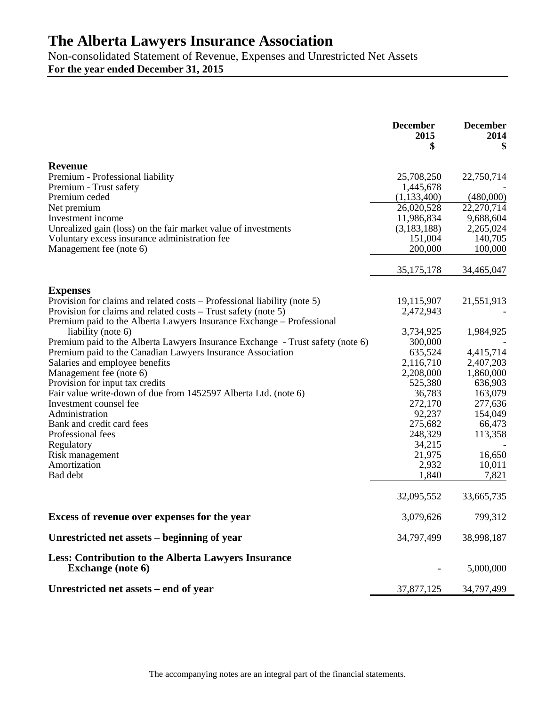Non-consolidated Statement of Revenue, Expenses and Unrestricted Net Assets **For the year ended December 31, 2015**

|                                                                                             | <b>December</b><br>2015<br>\$ | <b>December</b><br>2014<br>\$ |
|---------------------------------------------------------------------------------------------|-------------------------------|-------------------------------|
| Revenue                                                                                     |                               |                               |
| Premium - Professional liability                                                            | 25,708,250                    | 22,750,714                    |
| Premium - Trust safety                                                                      | 1,445,678                     |                               |
| Premium ceded                                                                               | (1,133,400)                   | (480,000)                     |
| Net premium                                                                                 | 26,020,528                    | 22,270,714                    |
| Investment income                                                                           | 11,986,834                    | 9,688,604                     |
| Unrealized gain (loss) on the fair market value of investments                              | (3, 183, 188)                 | 2,265,024                     |
| Voluntary excess insurance administration fee                                               | 151,004                       | 140,705                       |
| Management fee (note 6)                                                                     | 200,000                       | 100,000                       |
|                                                                                             | 35, 175, 178                  | 34,465,047                    |
|                                                                                             |                               |                               |
| <b>Expenses</b><br>Provision for claims and related costs – Professional liability (note 5) | 19,115,907                    | 21,551,913                    |
| Provision for claims and related costs – Trust safety (note 5)                              | 2,472,943                     |                               |
| Premium paid to the Alberta Lawyers Insurance Exchange - Professional                       |                               |                               |
| liability (note 6)                                                                          | 3,734,925                     | 1,984,925                     |
| Premium paid to the Alberta Lawyers Insurance Exchange - Trust safety (note 6)              | 300,000                       |                               |
| Premium paid to the Canadian Lawyers Insurance Association                                  | 635,524                       | 4,415,714                     |
| Salaries and employee benefits                                                              | 2,116,710                     | 2,407,203                     |
| Management fee (note 6)                                                                     | 2,208,000                     | 1,860,000                     |
| Provision for input tax credits                                                             | 525,380                       | 636,903                       |
| Fair value write-down of due from 1452597 Alberta Ltd. (note 6)                             | 36,783                        | 163,079                       |
| Investment counsel fee                                                                      | 272,170                       | 277,636                       |
| Administration                                                                              | 92,237                        | 154,049                       |
| Bank and credit card fees                                                                   | 275,682                       | 66,473                        |
| Professional fees                                                                           | 248,329                       | 113,358                       |
| Regulatory                                                                                  | 34,215                        |                               |
| Risk management                                                                             | 21,975                        | 16,650                        |
| Amortization                                                                                | 2,932                         | 10,011                        |
| Bad debt                                                                                    | 1,840                         | 7,821                         |
|                                                                                             |                               |                               |
|                                                                                             | 32,095,552                    | 33,665,735                    |
| Excess of revenue over expenses for the year                                                | 3,079,626                     | 799,312                       |
| Unrestricted net assets – beginning of year                                                 | 34,797,499                    | 38,998,187                    |
| <b>Less: Contribution to the Alberta Lawyers Insurance</b><br><b>Exchange</b> (note 6)      |                               | 5,000,000                     |
| Unrestricted net assets – end of year                                                       | 37,877,125                    | 34,797,499                    |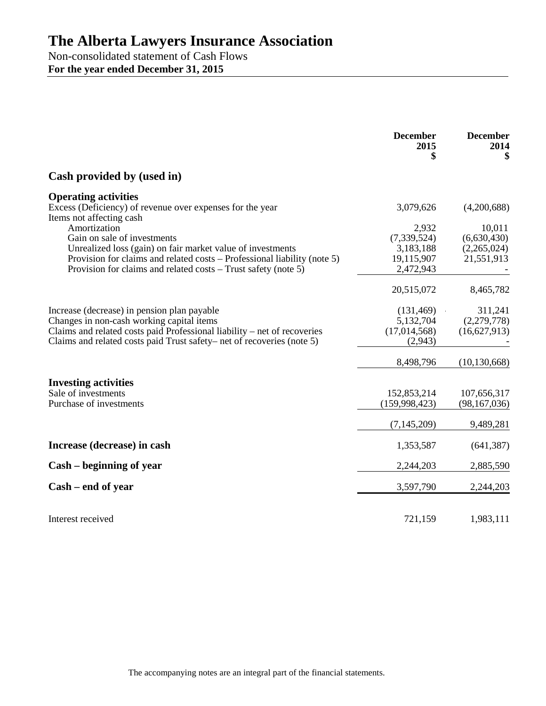Non-consolidated statement of Cash Flows **For the year ended December 31, 2015**

|                                                                                       | <b>December</b><br>2015<br>\$ | <b>December</b><br>2014<br>\$ |
|---------------------------------------------------------------------------------------|-------------------------------|-------------------------------|
| Cash provided by (used in)                                                            |                               |                               |
| <b>Operating activities</b>                                                           |                               |                               |
| Excess (Deficiency) of revenue over expenses for the year<br>Items not affecting cash | 3,079,626                     | (4,200,688)                   |
| Amortization                                                                          | 2,932                         | 10,011                        |
| Gain on sale of investments                                                           | (7, 339, 524)                 | (6,630,430)                   |
| Unrealized loss (gain) on fair market value of investments                            | 3,183,188                     | (2,265,024)                   |
| Provision for claims and related costs – Professional liability (note 5)              | 19,115,907                    | 21,551,913                    |
| Provision for claims and related costs – Trust safety (note 5)                        | 2,472,943                     |                               |
|                                                                                       | 20,515,072                    | 8,465,782                     |
| Increase (decrease) in pension plan payable                                           | (131, 469)                    | 311,241                       |
| Changes in non-cash working capital items                                             | 5,132,704                     | (2,279,778)                   |
| Claims and related costs paid Professional liability – net of recoveries              | (17,014,568)                  | (16,627,913)                  |
| Claims and related costs paid Trust safety– net of recoveries (note 5)                | (2,943)                       |                               |
|                                                                                       | 8,498,796                     | (10, 130, 668)                |
|                                                                                       |                               |                               |
| <b>Investing activities</b>                                                           |                               |                               |
| Sale of investments<br>Purchase of investments                                        | 152,853,214                   | 107,656,317                   |
|                                                                                       | (159,998,423)                 | (98, 167, 036)                |
|                                                                                       | (7, 145, 209)                 | 9,489,281                     |
| Increase (decrease) in cash                                                           | 1,353,587                     | (641, 387)                    |
| Cash – beginning of year                                                              | 2,244,203                     | 2,885,590                     |
| Cash – end of year                                                                    | 3,597,790                     | 2,244,203                     |
|                                                                                       |                               |                               |
| Interest received                                                                     | 721,159                       | 1,983,111                     |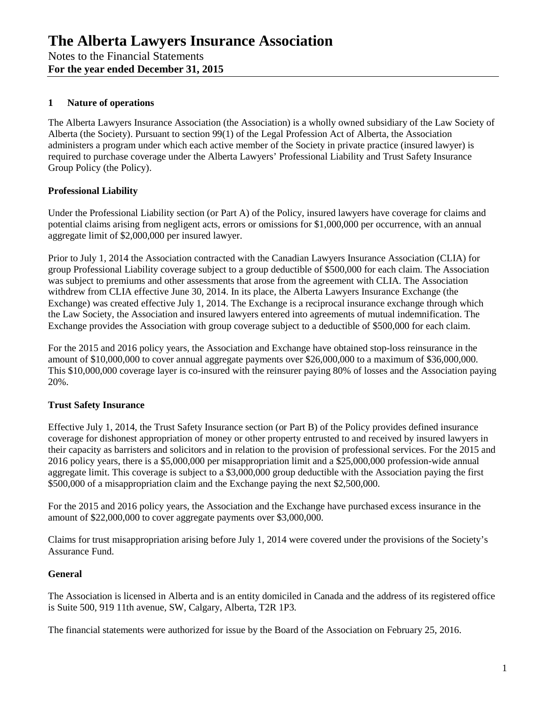## **1 Nature of operations**

The Alberta Lawyers Insurance Association (the Association) is a wholly owned subsidiary of the Law Society of Alberta (the Society). Pursuant to section 99(1) of the Legal Profession Act of Alberta, the Association administers a program under which each active member of the Society in private practice (insured lawyer) is required to purchase coverage under the Alberta Lawyers' Professional Liability and Trust Safety Insurance Group Policy (the Policy).

## **Professional Liability**

Under the Professional Liability section (or Part A) of the Policy, insured lawyers have coverage for claims and potential claims arising from negligent acts, errors or omissions for \$1,000,000 per occurrence, with an annual aggregate limit of \$2,000,000 per insured lawyer.

Prior to July 1, 2014 the Association contracted with the Canadian Lawyers Insurance Association (CLIA) for group Professional Liability coverage subject to a group deductible of \$500,000 for each claim. The Association was subject to premiums and other assessments that arose from the agreement with CLIA. The Association withdrew from CLIA effective June 30, 2014. In its place, the Alberta Lawyers Insurance Exchange (the Exchange) was created effective July 1, 2014. The Exchange is a reciprocal insurance exchange through which the Law Society, the Association and insured lawyers entered into agreements of mutual indemnification. The Exchange provides the Association with group coverage subject to a deductible of \$500,000 for each claim.

For the 2015 and 2016 policy years, the Association and Exchange have obtained stop-loss reinsurance in the amount of \$10,000,000 to cover annual aggregate payments over \$26,000,000 to a maximum of \$36,000,000. This \$10,000,000 coverage layer is co-insured with the reinsurer paying 80% of losses and the Association paying 20%.

### **Trust Safety Insurance**

Effective July 1, 2014, the Trust Safety Insurance section (or Part B) of the Policy provides defined insurance coverage for dishonest appropriation of money or other property entrusted to and received by insured lawyers in their capacity as barristers and solicitors and in relation to the provision of professional services. For the 2015 and 2016 policy years, there is a \$5,000,000 per misappropriation limit and a \$25,000,000 profession-wide annual aggregate limit. This coverage is subject to a \$3,000,000 group deductible with the Association paying the first \$500,000 of a misappropriation claim and the Exchange paying the next \$2,500,000.

For the 2015 and 2016 policy years, the Association and the Exchange have purchased excess insurance in the amount of \$22,000,000 to cover aggregate payments over \$3,000,000.

Claims for trust misappropriation arising before July 1, 2014 were covered under the provisions of the Society's Assurance Fund.

### **General**

The Association is licensed in Alberta and is an entity domiciled in Canada and the address of its registered office is Suite 500, 919 11th avenue, SW, Calgary, Alberta, T2R 1P3.

The financial statements were authorized for issue by the Board of the Association on February 25, 2016.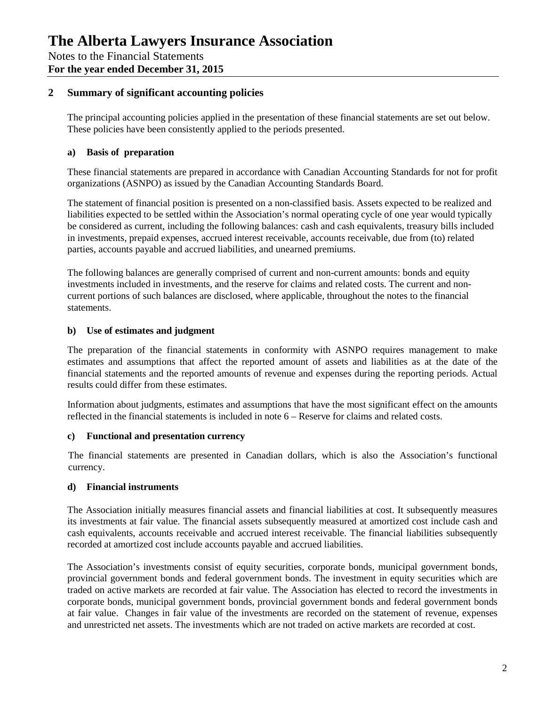## **2 Summary of significant accounting policies**

The principal accounting policies applied in the presentation of these financial statements are set out below. These policies have been consistently applied to the periods presented.

#### **a) Basis of preparation**

These financial statements are prepared in accordance with Canadian Accounting Standards for not for profit organizations (ASNPO) as issued by the Canadian Accounting Standards Board.

The statement of financial position is presented on a non-classified basis. Assets expected to be realized and liabilities expected to be settled within the Association's normal operating cycle of one year would typically be considered as current, including the following balances: cash and cash equivalents, treasury bills included in investments, prepaid expenses, accrued interest receivable, accounts receivable, due from (to) related parties, accounts payable and accrued liabilities, and unearned premiums.

The following balances are generally comprised of current and non-current amounts: bonds and equity investments included in investments, and the reserve for claims and related costs. The current and noncurrent portions of such balances are disclosed, where applicable, throughout the notes to the financial statements.

#### **b) Use of estimates and judgment**

The preparation of the financial statements in conformity with ASNPO requires management to make estimates and assumptions that affect the reported amount of assets and liabilities as at the date of the financial statements and the reported amounts of revenue and expenses during the reporting periods. Actual results could differ from these estimates.

Information about judgments, estimates and assumptions that have the most significant effect on the amounts reflected in the financial statements is included in note 6 – Reserve for claims and related costs.

#### **c) Functional and presentation currency**

The financial statements are presented in Canadian dollars, which is also the Association's functional currency.

#### **d) Financial instruments**

The Association initially measures financial assets and financial liabilities at cost. It subsequently measures its investments at fair value. The financial assets subsequently measured at amortized cost include cash and cash equivalents, accounts receivable and accrued interest receivable. The financial liabilities subsequently recorded at amortized cost include accounts payable and accrued liabilities.

The Association's investments consist of equity securities, corporate bonds, municipal government bonds, provincial government bonds and federal government bonds. The investment in equity securities which are traded on active markets are recorded at fair value. The Association has elected to record the investments in corporate bonds, municipal government bonds, provincial government bonds and federal government bonds at fair value. Changes in fair value of the investments are recorded on the statement of revenue, expenses and unrestricted net assets. The investments which are not traded on active markets are recorded at cost.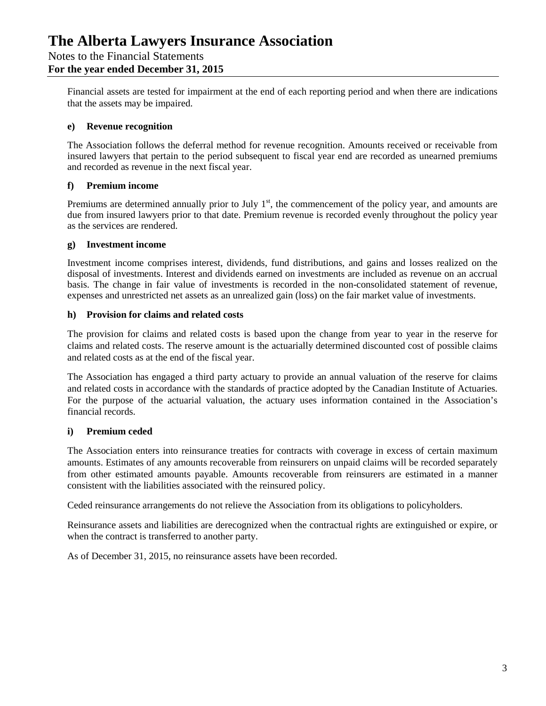### Notes to the Financial Statements **For the year ended December 31, 2015**

Financial assets are tested for impairment at the end of each reporting period and when there are indications that the assets may be impaired.

#### **e) Revenue recognition**

The Association follows the deferral method for revenue recognition. Amounts received or receivable from insured lawyers that pertain to the period subsequent to fiscal year end are recorded as unearned premiums and recorded as revenue in the next fiscal year.

#### **f) Premium income**

Premiums are determined annually prior to July  $1<sup>st</sup>$ , the commencement of the policy year, and amounts are due from insured lawyers prior to that date. Premium revenue is recorded evenly throughout the policy year as the services are rendered.

#### **g) Investment income**

Investment income comprises interest, dividends, fund distributions, and gains and losses realized on the disposal of investments. Interest and dividends earned on investments are included as revenue on an accrual basis. The change in fair value of investments is recorded in the non-consolidated statement of revenue, expenses and unrestricted net assets as an unrealized gain (loss) on the fair market value of investments.

#### **h) Provision for claims and related costs**

The provision for claims and related costs is based upon the change from year to year in the reserve for claims and related costs. The reserve amount is the actuarially determined discounted cost of possible claims and related costs as at the end of the fiscal year.

The Association has engaged a third party actuary to provide an annual valuation of the reserve for claims and related costs in accordance with the standards of practice adopted by the Canadian Institute of Actuaries. For the purpose of the actuarial valuation, the actuary uses information contained in the Association's financial records.

### **i) Premium ceded**

The Association enters into reinsurance treaties for contracts with coverage in excess of certain maximum amounts. Estimates of any amounts recoverable from reinsurers on unpaid claims will be recorded separately from other estimated amounts payable. Amounts recoverable from reinsurers are estimated in a manner consistent with the liabilities associated with the reinsured policy.

Ceded reinsurance arrangements do not relieve the Association from its obligations to policyholders.

Reinsurance assets and liabilities are derecognized when the contractual rights are extinguished or expire, or when the contract is transferred to another party.

As of December 31, 2015, no reinsurance assets have been recorded.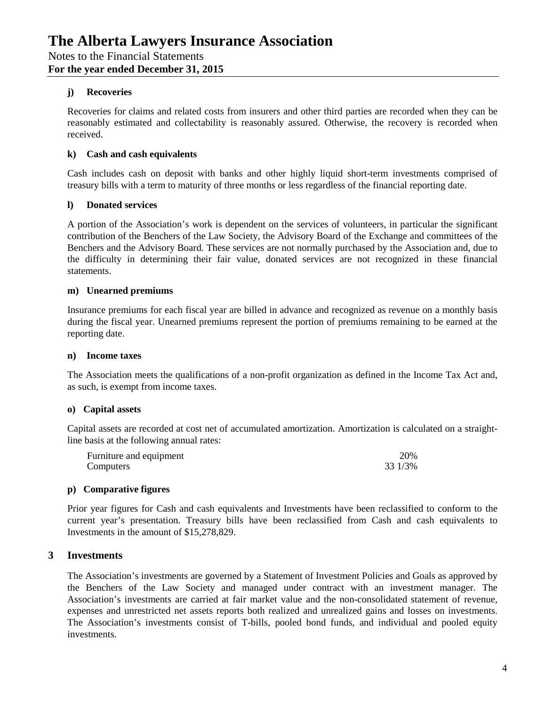#### **j) Recoveries**

Recoveries for claims and related costs from insurers and other third parties are recorded when they can be reasonably estimated and collectability is reasonably assured. Otherwise, the recovery is recorded when received.

#### **k) Cash and cash equivalents**

Cash includes cash on deposit with banks and other highly liquid short-term investments comprised of treasury bills with a term to maturity of three months or less regardless of the financial reporting date.

#### **l) Donated services**

A portion of the Association's work is dependent on the services of volunteers, in particular the significant contribution of the Benchers of the Law Society, the Advisory Board of the Exchange and committees of the Benchers and the Advisory Board. These services are not normally purchased by the Association and, due to the difficulty in determining their fair value, donated services are not recognized in these financial statements.

#### **m) Unearned premiums**

Insurance premiums for each fiscal year are billed in advance and recognized as revenue on a monthly basis during the fiscal year. Unearned premiums represent the portion of premiums remaining to be earned at the reporting date.

#### **n) Income taxes**

The Association meets the qualifications of a non-profit organization as defined in the Income Tax Act and, as such, is exempt from income taxes.

#### **o) Capital assets**

Capital assets are recorded at cost net of accumulated amortization. Amortization is calculated on a straightline basis at the following annual rates:

| Furniture and equipment | 20%     |
|-------------------------|---------|
| Computers               | 33 1/3% |

#### **p) Comparative figures**

Prior year figures for Cash and cash equivalents and Investments have been reclassified to conform to the current year's presentation. Treasury bills have been reclassified from Cash and cash equivalents to Investments in the amount of \$15,278,829.

### **3 Investments**

The Association's investments are governed by a Statement of Investment Policies and Goals as approved by the Benchers of the Law Society and managed under contract with an investment manager. The Association's investments are carried at fair market value and the non-consolidated statement of revenue, expenses and unrestricted net assets reports both realized and unrealized gains and losses on investments. The Association's investments consist of T-bills, pooled bond funds, and individual and pooled equity investments.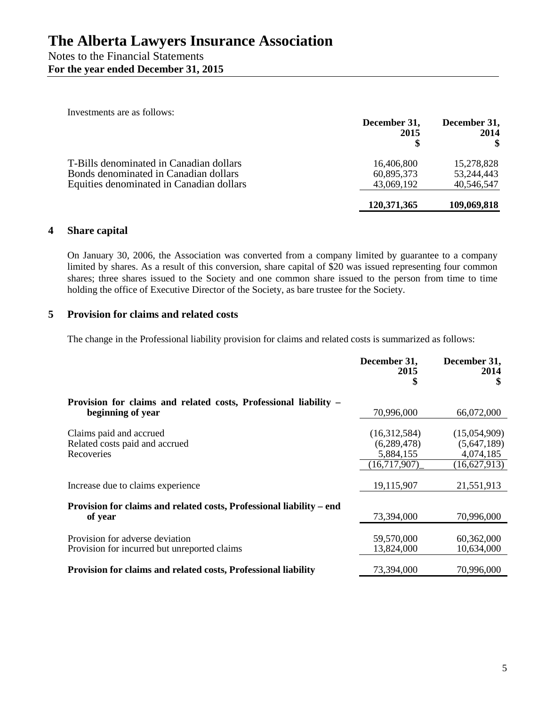| Investments are as follows:              | December 31,<br>2015 | December 31,<br>2014 |
|------------------------------------------|----------------------|----------------------|
| T-Bills denominated in Canadian dollars  | 16,406,800           | 15,278,828           |
| Bonds denominated in Canadian dollars    | 60,895,373           | 53, 244, 443         |
| Equities denominated in Canadian dollars | 43,069,192           | 40,546,547           |
|                                          | 120,371,365          | 109,069,818          |

## **4 Share capital**

On January 30, 2006, the Association was converted from a company limited by guarantee to a company limited by shares. As a result of this conversion, share capital of \$20 was issued representing four common shares; three shares issued to the Society and one common share issued to the person from time to time holding the office of Executive Director of the Society, as bare trustee for the Society.

## **5 Provision for claims and related costs**

The change in the Professional liability provision for claims and related costs is summarized as follows:

|                                                                                       | December 31,<br>2015<br>5                                    | December 31,<br>2014                                     |
|---------------------------------------------------------------------------------------|--------------------------------------------------------------|----------------------------------------------------------|
| Provision for claims and related costs, Professional liability -<br>beginning of year | 70,996,000                                                   | 66,072,000                                               |
| Claims paid and accrued<br>Related costs paid and accrued<br>Recoveries               | (16,312,584)<br>(6, 289, 478)<br>5,884,155<br>(16, 717, 907) | (15,054,909)<br>(5,647,189)<br>4,074,185<br>(16,627,913) |
| Increase due to claims experience                                                     | 19,115,907                                                   | 21,551,913                                               |
| Provision for claims and related costs, Professional liability – end<br>of year       | 73,394,000                                                   | 70,996,000                                               |
| Provision for adverse deviation<br>Provision for incurred but unreported claims       | 59,570,000<br>13,824,000                                     | 60,362,000<br>10,634,000                                 |
| Provision for claims and related costs, Professional liability                        | 73,394,000                                                   | 70,996,000                                               |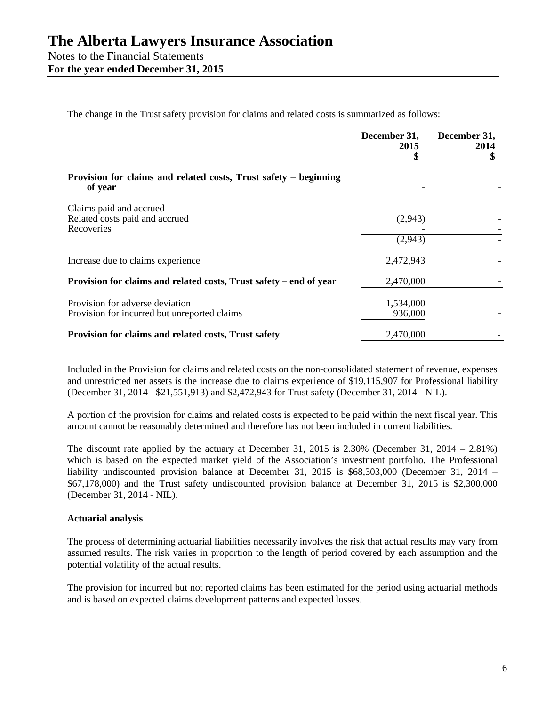The change in the Trust safety provision for claims and related costs is summarized as follows:

|                                                                                 | December 31,<br>2015 | December 31,<br>2014 |
|---------------------------------------------------------------------------------|----------------------|----------------------|
| Provision for claims and related costs, Trust safety – beginning<br>of year     |                      |                      |
| Claims paid and accrued<br>Related costs paid and accrued<br>Recoveries         | (2,943)              |                      |
|                                                                                 | (2,943)              |                      |
| Increase due to claims experience                                               | 2,472,943            |                      |
| Provision for claims and related costs, Trust safety – end of year              | 2,470,000            |                      |
| Provision for adverse deviation<br>Provision for incurred but unreported claims | 1,534,000<br>936,000 |                      |
| Provision for claims and related costs, Trust safety                            | 2,470,000            |                      |

Included in the Provision for claims and related costs on the non-consolidated statement of revenue, expenses and unrestricted net assets is the increase due to claims experience of \$19,115,907 for Professional liability (December 31, 2014 - \$21,551,913) and \$2,472,943 for Trust safety (December 31, 2014 - NIL).

A portion of the provision for claims and related costs is expected to be paid within the next fiscal year. This amount cannot be reasonably determined and therefore has not been included in current liabilities.

The discount rate applied by the actuary at December 31, 2015 is 2.30% (December 31, 2014 – 2.81%) which is based on the expected market yield of the Association's investment portfolio. The Professional liability undiscounted provision balance at December 31, 2015 is \$68,303,000 (December 31, 2014 – \$67,178,000) and the Trust safety undiscounted provision balance at December 31, 2015 is \$2,300,000 (December 31, 2014 - NIL).

#### **Actuarial analysis**

The process of determining actuarial liabilities necessarily involves the risk that actual results may vary from assumed results. The risk varies in proportion to the length of period covered by each assumption and the potential volatility of the actual results.

The provision for incurred but not reported claims has been estimated for the period using actuarial methods and is based on expected claims development patterns and expected losses.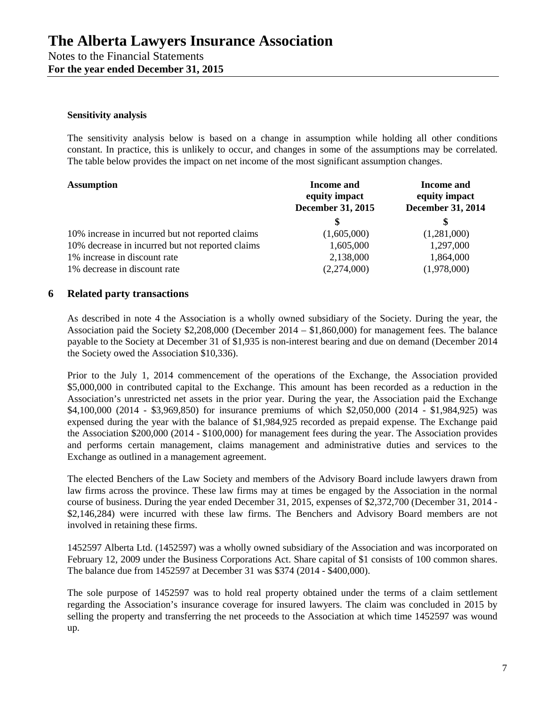#### **Sensitivity analysis**

The sensitivity analysis below is based on a change in assumption while holding all other conditions constant. In practice, this is unlikely to occur, and changes in some of the assumptions may be correlated. The table below provides the impact on net income of the most significant assumption changes.

| <b>Assumption</b>                                | Income and<br>equity impact<br><b>December 31, 2015</b> | <b>Income and</b><br>equity impact<br><b>December 31, 2014</b> |
|--------------------------------------------------|---------------------------------------------------------|----------------------------------------------------------------|
|                                                  |                                                         | S                                                              |
| 10% increase in incurred but not reported claims | (1,605,000)                                             | (1,281,000)                                                    |
| 10% decrease in incurred but not reported claims | 1,605,000                                               | 1,297,000                                                      |
| 1% increase in discount rate                     | 2,138,000                                               | 1,864,000                                                      |
| 1% decrease in discount rate                     | (2,274,000)                                             | (1,978,000)                                                    |

#### **6 Related party transactions**

As described in note 4 the Association is a wholly owned subsidiary of the Society. During the year, the Association paid the Society \$2,208,000 (December 2014 – \$1,860,000) for management fees. The balance payable to the Society at December 31 of \$1,935 is non-interest bearing and due on demand (December 2014 the Society owed the Association \$10,336).

Prior to the July 1, 2014 commencement of the operations of the Exchange, the Association provided \$5,000,000 in contributed capital to the Exchange. This amount has been recorded as a reduction in the Association's unrestricted net assets in the prior year. During the year, the Association paid the Exchange \$4,100,000 (2014 - \$3,969,850) for insurance premiums of which \$2,050,000 (2014 - \$1,984,925) was expensed during the year with the balance of \$1,984,925 recorded as prepaid expense. The Exchange paid the Association \$200,000 (2014 - \$100,000) for management fees during the year. The Association provides and performs certain management, claims management and administrative duties and services to the Exchange as outlined in a management agreement.

The elected Benchers of the Law Society and members of the Advisory Board include lawyers drawn from law firms across the province. These law firms may at times be engaged by the Association in the normal course of business. During the year ended December 31, 2015, expenses of \$2,372,700 (December 31, 2014 - \$2,146,284) were incurred with these law firms. The Benchers and Advisory Board members are not involved in retaining these firms.

1452597 Alberta Ltd. (1452597) was a wholly owned subsidiary of the Association and was incorporated on February 12, 2009 under the Business Corporations Act. Share capital of \$1 consists of 100 common shares. The balance due from 1452597 at December 31 was \$374 (2014 - \$400,000).

The sole purpose of 1452597 was to hold real property obtained under the terms of a claim settlement regarding the Association's insurance coverage for insured lawyers. The claim was concluded in 2015 by selling the property and transferring the net proceeds to the Association at which time 1452597 was wound up.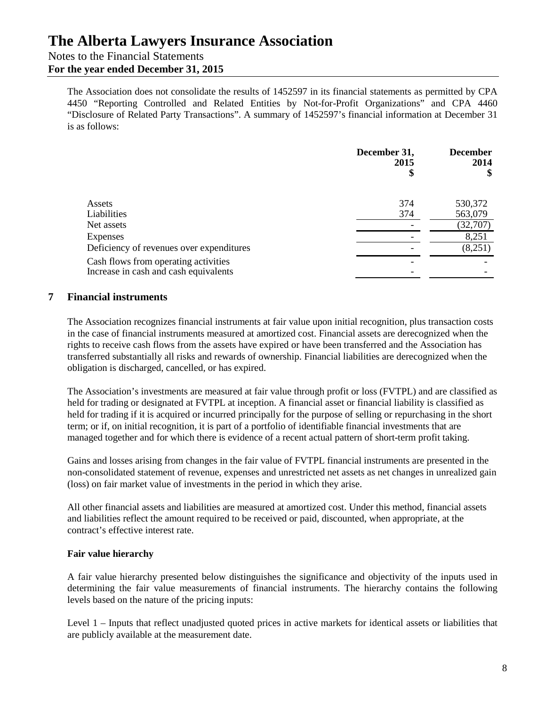## Notes to the Financial Statements

## **For the year ended December 31, 2015**

The Association does not consolidate the results of 1452597 in its financial statements as permitted by CPA 4450 "Reporting Controlled and Related Entities by Not-for-Profit Organizations" and CPA 4460 "Disclosure of Related Party Transactions". A summary of 1452597's financial information at December 31 is as follows:

|                                                                                                                           | December 31,<br>2015<br>\$ | <b>December</b><br>2014<br>\$ |
|---------------------------------------------------------------------------------------------------------------------------|----------------------------|-------------------------------|
| Assets<br>Liabilities                                                                                                     | 374<br>374                 | 530,372<br>563,079            |
| Net assets<br>Expenses                                                                                                    |                            | (32,707)<br>8,251             |
| Deficiency of revenues over expenditures<br>Cash flows from operating activities<br>Increase in cash and cash equivalents |                            | (8,251)                       |

## **7 Financial instruments**

The Association recognizes financial instruments at fair value upon initial recognition, plus transaction costs in the case of financial instruments measured at amortized cost. Financial assets are derecognized when the rights to receive cash flows from the assets have expired or have been transferred and the Association has transferred substantially all risks and rewards of ownership. Financial liabilities are derecognized when the obligation is discharged, cancelled, or has expired.

The Association's investments are measured at fair value through profit or loss (FVTPL) and are classified as held for trading or designated at FVTPL at inception. A financial asset or financial liability is classified as held for trading if it is acquired or incurred principally for the purpose of selling or repurchasing in the short term; or if, on initial recognition, it is part of a portfolio of identifiable financial investments that are managed together and for which there is evidence of a recent actual pattern of short-term profit taking.

Gains and losses arising from changes in the fair value of FVTPL financial instruments are presented in the non-consolidated statement of revenue, expenses and unrestricted net assets as net changes in unrealized gain (loss) on fair market value of investments in the period in which they arise.

All other financial assets and liabilities are measured at amortized cost. Under this method, financial assets and liabilities reflect the amount required to be received or paid, discounted, when appropriate, at the contract's effective interest rate.

### **Fair value hierarchy**

A fair value hierarchy presented below distinguishes the significance and objectivity of the inputs used in determining the fair value measurements of financial instruments. The hierarchy contains the following levels based on the nature of the pricing inputs:

Level 1 – Inputs that reflect unadjusted quoted prices in active markets for identical assets or liabilities that are publicly available at the measurement date.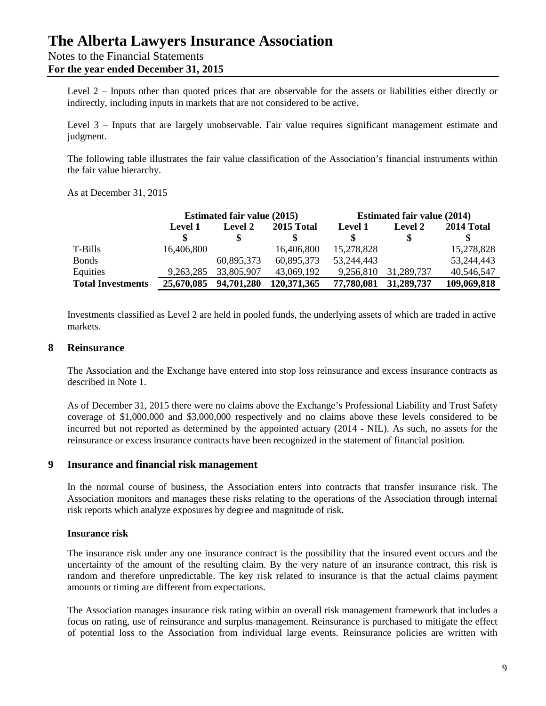Notes to the Financial Statements

**For the year ended December 31, 2015**

Level 2 – Inputs other than quoted prices that are observable for the assets or liabilities either directly or indirectly, including inputs in markets that are not considered to be active.

Level 3 – Inputs that are largely unobservable. Fair value requires significant management estimate and judgment.

The following table illustrates the fair value classification of the Association's financial instruments within the fair value hierarchy.

As at December 31, 2015

|                          | <b>Estimated fair value (2015)</b> |                | <b>Estimated fair value (2014)</b> |                |            |             |
|--------------------------|------------------------------------|----------------|------------------------------------|----------------|------------|-------------|
|                          | <b>Level 1</b>                     | <b>Level 2</b> | 2015 Total                         | <b>Level 1</b> | Level 2    | 2014 Total  |
|                          |                                    |                |                                    |                |            |             |
| T-Bills                  | 16,406,800                         |                | 16,406,800                         | 15,278,828     |            | 15,278,828  |
| <b>Bonds</b>             |                                    | 60,895,373     | 60,895,373                         | 53,244,443     |            | 53,244,443  |
| Equities                 | 9,263,285                          | 33,805,907     | 43,069,192                         | 9,256,810      | 31,289,737 | 40,546,547  |
| <b>Total Investments</b> | 25,670,085                         | 94,701,280     | 120,371,365                        | 77,780,081     | 31,289,737 | 109,069,818 |

Investments classified as Level 2 are held in pooled funds, the underlying assets of which are traded in active markets.

### **8 Reinsurance**

The Association and the Exchange have entered into stop loss reinsurance and excess insurance contracts as described in Note 1.

As of December 31, 2015 there were no claims above the Exchange's Professional Liability and Trust Safety coverage of \$1,000,000 and \$3,000,000 respectively and no claims above these levels considered to be incurred but not reported as determined by the appointed actuary (2014 - NIL). As such, no assets for the reinsurance or excess insurance contracts have been recognized in the statement of financial position.

### **9 Insurance and financial risk management**

In the normal course of business, the Association enters into contracts that transfer insurance risk. The Association monitors and manages these risks relating to the operations of the Association through internal risk reports which analyze exposures by degree and magnitude of risk.

#### **Insurance risk**

The insurance risk under any one insurance contract is the possibility that the insured event occurs and the uncertainty of the amount of the resulting claim. By the very nature of an insurance contract, this risk is random and therefore unpredictable. The key risk related to insurance is that the actual claims payment amounts or timing are different from expectations.

The Association manages insurance risk rating within an overall risk management framework that includes a focus on rating, use of reinsurance and surplus management. Reinsurance is purchased to mitigate the effect of potential loss to the Association from individual large events. Reinsurance policies are written with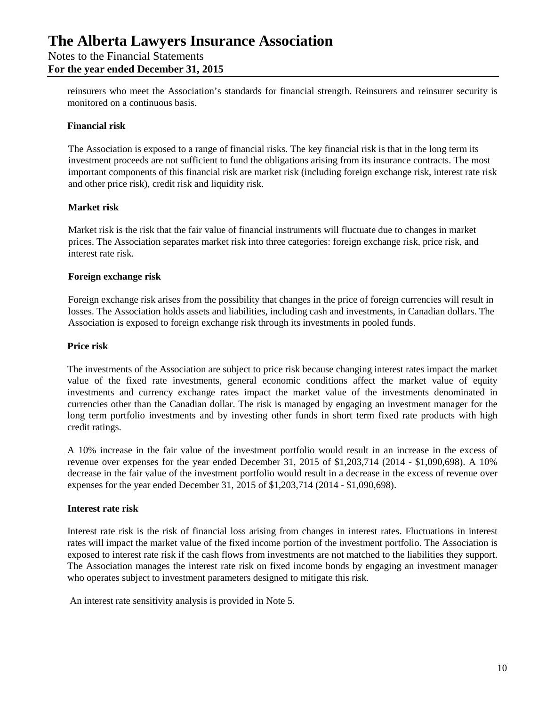**For the year ended December 31, 2015**

reinsurers who meet the Association's standards for financial strength. Reinsurers and reinsurer security is monitored on a continuous basis.

#### **Financial risk**

The Association is exposed to a range of financial risks. The key financial risk is that in the long term its investment proceeds are not sufficient to fund the obligations arising from its insurance contracts. The most important components of this financial risk are market risk (including foreign exchange risk, interest rate risk and other price risk), credit risk and liquidity risk.

#### **Market risk**

Market risk is the risk that the fair value of financial instruments will fluctuate due to changes in market prices. The Association separates market risk into three categories: foreign exchange risk, price risk, and interest rate risk.

#### **Foreign exchange risk**

Foreign exchange risk arises from the possibility that changes in the price of foreign currencies will result in losses. The Association holds assets and liabilities, including cash and investments, in Canadian dollars. The Association is exposed to foreign exchange risk through its investments in pooled funds.

#### **Price risk**

The investments of the Association are subject to price risk because changing interest rates impact the market value of the fixed rate investments, general economic conditions affect the market value of equity investments and currency exchange rates impact the market value of the investments denominated in currencies other than the Canadian dollar. The risk is managed by engaging an investment manager for the long term portfolio investments and by investing other funds in short term fixed rate products with high credit ratings.

A 10% increase in the fair value of the investment portfolio would result in an increase in the excess of revenue over expenses for the year ended December 31, 2015 of \$1,203,714 (2014 - \$1,090,698). A 10% decrease in the fair value of the investment portfolio would result in a decrease in the excess of revenue over expenses for the year ended December 31, 2015 of \$1,203,714 (2014 - \$1,090,698).

#### **Interest rate risk**

Interest rate risk is the risk of financial loss arising from changes in interest rates. Fluctuations in interest rates will impact the market value of the fixed income portion of the investment portfolio. The Association is exposed to interest rate risk if the cash flows from investments are not matched to the liabilities they support. The Association manages the interest rate risk on fixed income bonds by engaging an investment manager who operates subject to investment parameters designed to mitigate this risk.

An interest rate sensitivity analysis is provided in Note 5.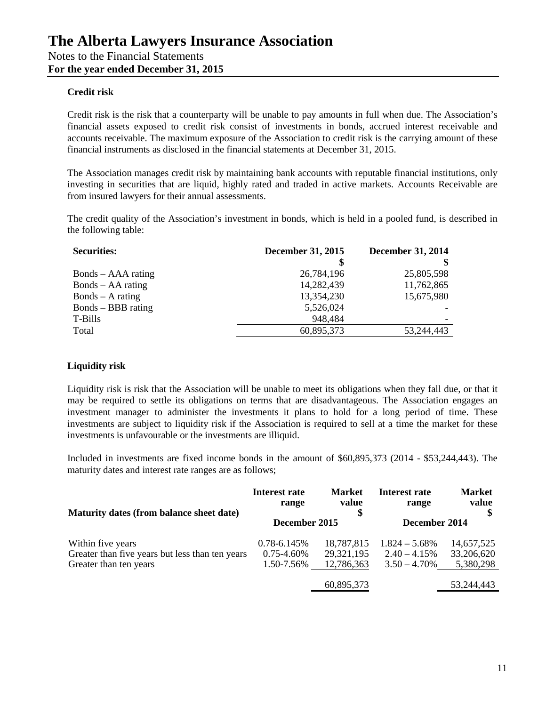#### **Credit risk**

Credit risk is the risk that a counterparty will be unable to pay amounts in full when due. The Association's financial assets exposed to credit risk consist of investments in bonds, accrued interest receivable and accounts receivable. The maximum exposure of the Association to credit risk is the carrying amount of these financial instruments as disclosed in the financial statements at December 31, 2015.

The Association manages credit risk by maintaining bank accounts with reputable financial institutions, only investing in securities that are liquid, highly rated and traded in active markets. Accounts Receivable are from insured lawyers for their annual assessments.

The credit quality of the Association's investment in bonds, which is held in a pooled fund, is described in the following table:

| <b>Securities:</b>  | <b>December 31, 2015</b> | <b>December 31, 2014</b> |  |
|---------------------|--------------------------|--------------------------|--|
|                     |                          |                          |  |
| Bonds – AAA rating  | 26,784,196               | 25,805,598               |  |
| $Bonds - AA rating$ | 14,282,439               | 11,762,865               |  |
| $Bonds - A rating$  | 13,354,230               | 15,675,980               |  |
| Bonds – BBB rating  | 5,526,024                |                          |  |
| T-Bills             | 948,484                  |                          |  |
| Total               | 60,895,373               | 53,244,443               |  |

### **Liquidity risk**

Liquidity risk is risk that the Association will be unable to meet its obligations when they fall due, or that it may be required to settle its obligations on terms that are disadvantageous. The Association engages an investment manager to administer the investments it plans to hold for a long period of time. These investments are subject to liquidity risk if the Association is required to sell at a time the market for these investments is unfavourable or the investments are illiquid.

Included in investments are fixed income bonds in the amount of \$60,895,373 (2014 - \$53,244,443). The maturity dates and interest rate ranges are as follows;

| Maturity dates (from balance sheet date)        | Interest rate<br>range | <b>Market</b><br>value | Interest rate<br>range | <b>Market</b><br>value |
|-------------------------------------------------|------------------------|------------------------|------------------------|------------------------|
|                                                 | December 2015          |                        | December 2014          |                        |
| Within five years                               | $0.78 - 6.145\%$       | 18,787,815             | $1.824 - 5.68\%$       | 14,657,525             |
| Greater than five years but less than ten years | $0.75 - 4.60\%$        | 29,321,195             | $2.40 - 4.15%$         | 33,206,620             |
| Greater than ten years                          | 1.50-7.56%             | 12,786,363             | $3.50 - 4.70\%$        | 5,380,298              |
|                                                 |                        | 60,895,373             |                        | 53,244,443             |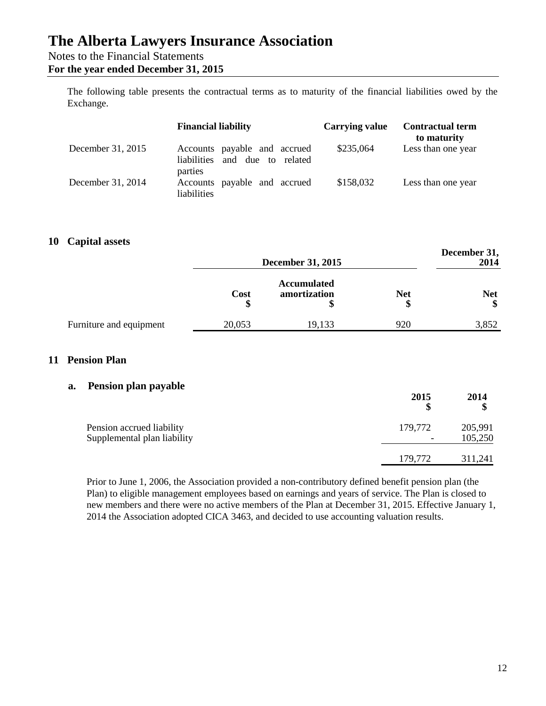## Notes to the Financial Statements

### **For the year ended December 31, 2015**

The following table presents the contractual terms as to maturity of the financial liabilities owed by the Exchange.

|                   | <b>Financial liability</b>                                               | <b>Carrying value</b> | <b>Contractual term</b><br>to maturity |
|-------------------|--------------------------------------------------------------------------|-----------------------|----------------------------------------|
| December 31, 2015 | Accounts payable and accrued<br>and due to related<br><i>liabilities</i> | \$235,064             | Less than one year                     |
| December 31, 2014 | parties<br>payable and accrued<br>Accounts<br><i>liabilities</i>         | \$158,032             | Less than one year                     |

### **10 Capital assets**

|                         | <b>December 31, 2015</b> |                                    | December 31,<br>2014 |                  |
|-------------------------|--------------------------|------------------------------------|----------------------|------------------|
|                         | Cost                     | <b>Accumulated</b><br>amortization | <b>Net</b>           | <b>Net</b><br>\$ |
| Furniture and equipment | 20,053                   | 19,133                             | 920                  | 3,852            |

## **11 Pension Plan**

### **a. Pension plan payable**

|                                                          | 2015<br>S                           | 2014               |
|----------------------------------------------------------|-------------------------------------|--------------------|
| Pension accrued liability<br>Supplemental plan liability | 179,772<br>$\overline{\phantom{0}}$ | 205,991<br>105,250 |
|                                                          | 179,772                             | 311,241            |

Prior to June 1, 2006, the Association provided a non-contributory defined benefit pension plan (the Plan) to eligible management employees based on earnings and years of service. The Plan is closed to new members and there were no active members of the Plan at December 31, 2015. Effective January 1, 2014 the Association adopted CICA 3463, and decided to use accounting valuation results.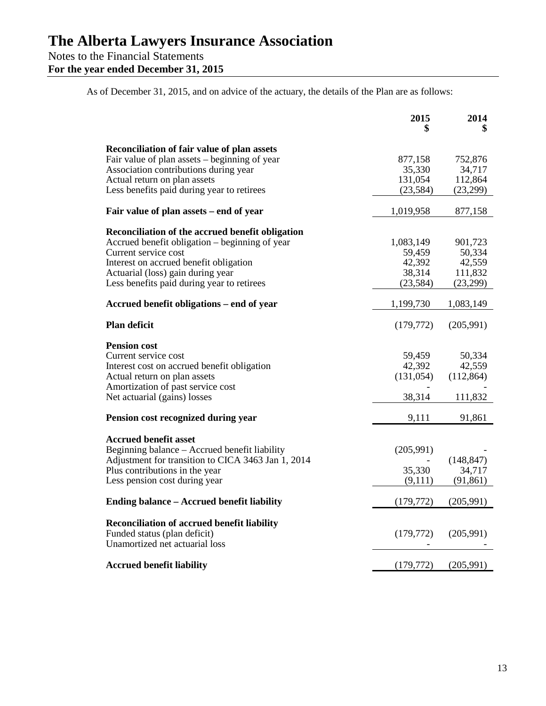**For the year ended December 31, 2015**

As of December 31, 2015, and on advice of the actuary, the details of the Plan are as follows:

|                                                                                                                            | 2015                           | 2014                           |
|----------------------------------------------------------------------------------------------------------------------------|--------------------------------|--------------------------------|
|                                                                                                                            |                                |                                |
| Reconciliation of fair value of plan assets<br>Fair value of plan assets – beginning of year                               | 877,158                        | 752,876                        |
| Association contributions during year                                                                                      | 35,330                         | 34,717                         |
| Actual return on plan assets                                                                                               | 131,054                        | 112,864                        |
| Less benefits paid during year to retirees                                                                                 | (23, 584)                      | (23,299)                       |
| Fair value of plan assets – end of year                                                                                    | 1,019,958                      | 877,158                        |
| Reconciliation of the accrued benefit obligation                                                                           |                                |                                |
| Accrued benefit obligation – beginning of year                                                                             | 1,083,149                      | 901,723                        |
| Current service cost                                                                                                       | 59,459                         | 50,334                         |
| Interest on accrued benefit obligation                                                                                     | 42,392                         | 42,559                         |
| Actuarial (loss) gain during year                                                                                          | 38,314                         | 111,832                        |
| Less benefits paid during year to retirees                                                                                 | (23, 584)                      | (23,299)                       |
| Accrued benefit obligations – end of year                                                                                  | 1,199,730                      | 1,083,149                      |
| <b>Plan deficit</b>                                                                                                        | (179, 772)                     | (205,991)                      |
| <b>Pension cost</b><br>Current service cost<br>Interest cost on accrued benefit obligation<br>Actual return on plan assets | 59,459<br>42,392<br>(131, 054) | 50,334<br>42,559<br>(112, 864) |
| Amortization of past service cost<br>Net actuarial (gains) losses                                                          | 38,314                         | 111,832                        |
| Pension cost recognized during year                                                                                        | 9,111                          | 91,861                         |
| <b>Accrued benefit asset</b>                                                                                               |                                |                                |
| Beginning balance – Accrued benefit liability                                                                              | (205,991)                      |                                |
| Adjustment for transition to CICA 3463 Jan 1, 2014                                                                         |                                | (148, 847)                     |
| Plus contributions in the year                                                                                             | 35,330                         | 34,717                         |
| Less pension cost during year                                                                                              | (9,111)                        | (91, 861)                      |
| <b>Ending balance – Accrued benefit liability</b>                                                                          | (179, 772)                     | (205,991)                      |
| Reconciliation of accrued benefit liability<br>Funded status (plan deficit)<br>Unamortized net actuarial loss              | (179, 772)                     | (205,991)                      |
| <b>Accrued benefit liability</b>                                                                                           | (179, 772)                     | (205,991)                      |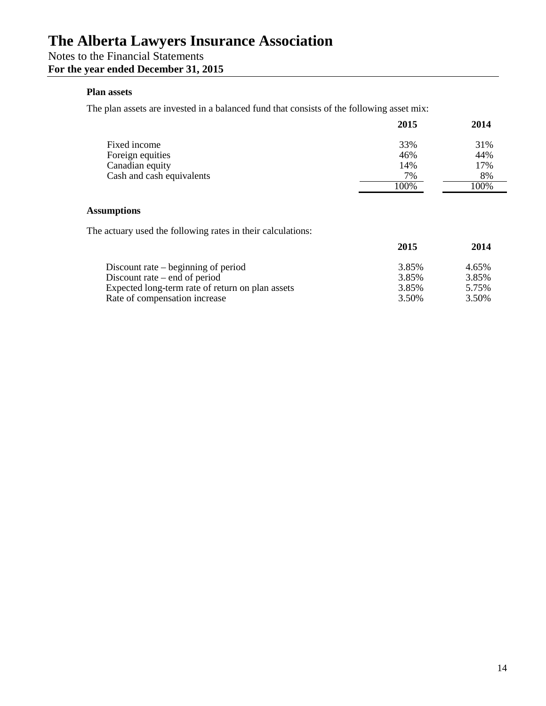# **For the year ended December 31, 2015**

## **Plan assets**

The plan assets are invested in a balanced fund that consists of the following asset mix:

|                                  | 2015       | 2014       |
|----------------------------------|------------|------------|
| Fixed income<br>Foreign equities | 33%<br>46% | 31%<br>44% |
| Canadian equity                  | 14%<br>7%  | 17%<br>8%  |
| Cash and cash equivalents        | 100%       | 100%       |

#### **Assumptions**

The actuary used the following rates in their calculations:

|                                                  | 2015  | 2014  |
|--------------------------------------------------|-------|-------|
| Discount rate $-$ beginning of period            | 3.85% | 4.65% |
| Discount rate $-$ end of period                  | 3.85% | 3.85% |
| Expected long-term rate of return on plan assets | 3.85% | 5.75% |
| Rate of compensation increase                    | 3.50% | 3.50% |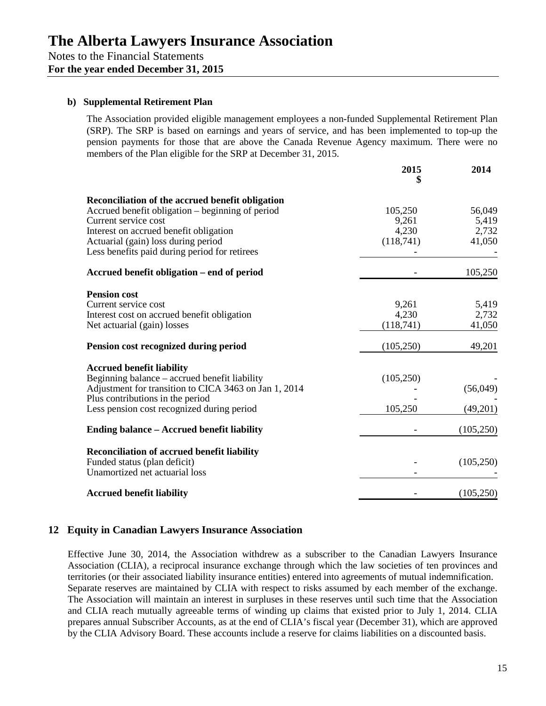#### **b) Supplemental Retirement Plan**

The Association provided eligible management employees a non-funded Supplemental Retirement Plan (SRP). The SRP is based on earnings and years of service, and has been implemented to top-up the pension payments for those that are above the Canada Revenue Agency maximum. There were no members of the Plan eligible for the SRP at December 31, 2015.

|                                                                                                                                                                                                                                                                | 2015                                   | 2014                               |
|----------------------------------------------------------------------------------------------------------------------------------------------------------------------------------------------------------------------------------------------------------------|----------------------------------------|------------------------------------|
| Reconciliation of the accrued benefit obligation<br>Accrued benefit obligation - beginning of period<br>Current service cost<br>Interest on accrued benefit obligation<br>Actuarial (gain) loss during period<br>Less benefits paid during period for retirees | 105,250<br>9,261<br>4,230<br>(118,741) | 56,049<br>5,419<br>2,732<br>41,050 |
| Accrued benefit obligation – end of period                                                                                                                                                                                                                     |                                        | 105,250                            |
| <b>Pension cost</b><br>Current service cost<br>Interest cost on accrued benefit obligation<br>Net actuarial (gain) losses                                                                                                                                      | 9,261<br>4,230<br>(118,741)            | 5,419<br>2,732<br>41,050           |
| Pension cost recognized during period                                                                                                                                                                                                                          | (105, 250)                             | 49,201                             |
| <b>Accrued benefit liability</b><br>Beginning balance - accrued benefit liability<br>Adjustment for transition to CICA 3463 on Jan 1, 2014<br>Plus contributions in the period<br>Less pension cost recognized during period                                   | (105, 250)<br>105,250                  | (56,049)<br>(49,201)               |
| Ending balance - Accrued benefit liability                                                                                                                                                                                                                     |                                        | (105, 250)                         |
| Reconciliation of accrued benefit liability<br>Funded status (plan deficit)<br>Unamortized net actuarial loss                                                                                                                                                  |                                        | (105, 250)                         |
| <b>Accrued benefit liability</b>                                                                                                                                                                                                                               |                                        | (105, 250)                         |

### **12 Equity in Canadian Lawyers Insurance Association**

Effective June 30, 2014, the Association withdrew as a subscriber to the Canadian Lawyers Insurance Association (CLIA), a reciprocal insurance exchange through which the law societies of ten provinces and territories (or their associated liability insurance entities) entered into agreements of mutual indemnification. Separate reserves are maintained by CLIA with respect to risks assumed by each member of the exchange. The Association will maintain an interest in surpluses in these reserves until such time that the Association and CLIA reach mutually agreeable terms of winding up claims that existed prior to July 1, 2014. CLIA prepares annual Subscriber Accounts, as at the end of CLIA's fiscal year (December 31), which are approved by the CLIA Advisory Board. These accounts include a reserve for claims liabilities on a discounted basis.